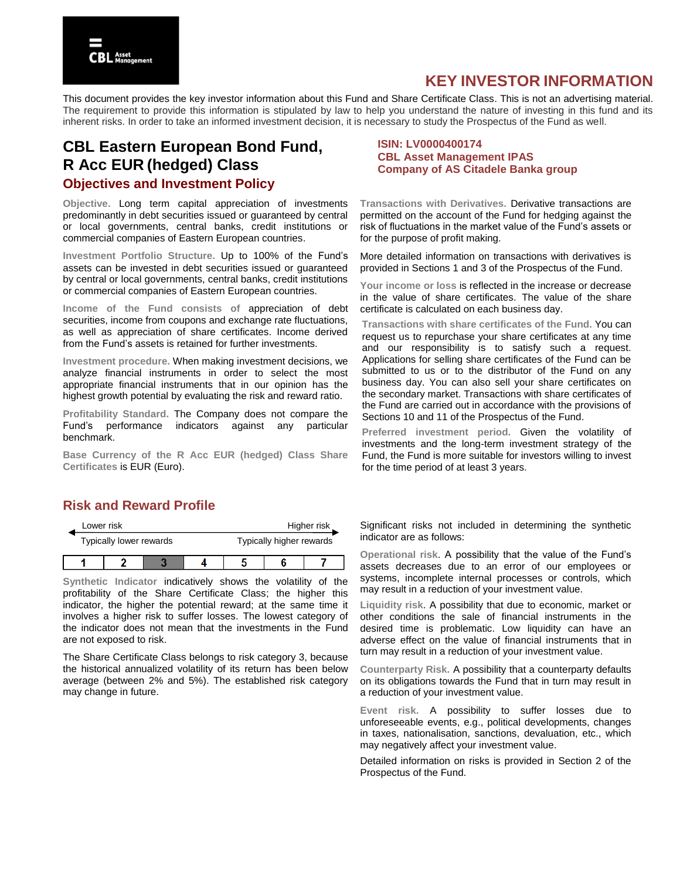# **KEY INVESTOR INFORMATION**

This document provides the key investor information about this Fund and Share Certificate Class. This is not an advertising material. The requirement to provide this information is stipulated by law to help you understand the nature of investing in this fund and its inherent risks. In order to take an informed investment decision, it is necessary to study the Prospectus of the Fund as well.

# **CBL Eastern European Bond Fund, R Acc EUR (hedged) Class Objectives and Investment Policy**

**Objective.** Long term capital appreciation of investments predominantly in debt securities issued or guaranteed by central or local governments, central banks, credit institutions or commercial companies of Eastern European countries.

**Investment Portfolio Structure.** Up to 100% of the Fund's assets can be invested in debt securities issued or guaranteed by central or local governments, central banks, credit institutions or commercial companies of Eastern European countries.

**Income of the Fund consists of** appreciation of debt securities, income from coupons and exchange rate fluctuations, as well as appreciation of share certificates. Income derived from the Fund's assets is retained for further investments.

**Investment procedure.** When making investment decisions, we analyze financial instruments in order to select the most appropriate financial instruments that in our opinion has the highest growth potential by evaluating the risk and reward ratio.

**Profitability Standard.** The Company does not compare the Fund's performance indicators against any particular benchmark.

**Base Currency of the R Acc EUR (hedged) Class Share Certificates** is EUR (Euro).

### **ISIN: LV0000400174 CBL Asset Management IPAS Company of AS Citadele Banka group**

**Transactions with Derivatives.** Derivative transactions are permitted on the account of the Fund for hedging against the risk of fluctuations in the market value of the Fund's assets or for the purpose of profit making.

More detailed information on transactions with derivatives is provided in Sections 1 and 3 of the Prospectus of the Fund.

**Your income or loss** is reflected in the increase or decrease in the value of share certificates. The value of the share certificate is calculated on each business day.

**Transactions with share certificates of the Fund.** You can request us to repurchase your share certificates at any time and our responsibility is to satisfy such a request. Applications for selling share certificates of the Fund can be submitted to us or to the distributor of the Fund on any business day. You can also sell your share certificates on the secondary market. Transactions with share certificates of the Fund are carried out in accordance with the provisions of Sections 10 and 11 of the Prospectus of the Fund.

**Preferred investment period.** Given the volatility of investments and the long-term investment strategy of the Fund, the Fund is more suitable for investors willing to invest for the time period of at least 3 years.

## **Risk and Reward Profile**

| Lower risk              |  |  |                          |  | Higher risk |
|-------------------------|--|--|--------------------------|--|-------------|
| Typically lower rewards |  |  | Typically higher rewards |  |             |
|                         |  |  |                          |  |             |

**Synthetic Indicator** indicatively shows the volatility of the profitability of the Share Certificate Class; the higher this indicator, the higher the potential reward; at the same time it involves a higher risk to suffer losses. The lowest category of the indicator does not mean that the investments in the Fund are not exposed to risk.

The Share Certificate Class belongs to risk category 3, because the historical annualized volatility of its return has been below average (between 2% and 5%). The established risk category may change in future.

Significant risks not included in determining the synthetic indicator are as follows:

**Operational risk**. A possibility that the value of the Fund's assets decreases due to an error of our employees or systems, incomplete internal processes or controls, which may result in a reduction of your investment value.

**Liquidity risk**. A possibility that due to economic, market or other conditions the sale of financial instruments in the desired time is problematic. Low liquidity can have an adverse effect on the value of financial instruments that in turn may result in a reduction of your investment value.

**Counterparty Risk.** A possibility that a counterparty defaults on its obligations towards the Fund that in turn may result in a reduction of your investment value.

**Event risk.** A possibility to suffer losses due to unforeseeable events, e.g., political developments, changes in taxes, nationalisation, sanctions, devaluation, etc., which may negatively affect your investment value.

Detailed information on risks is provided in Section 2 of the Prospectus of the Fund.